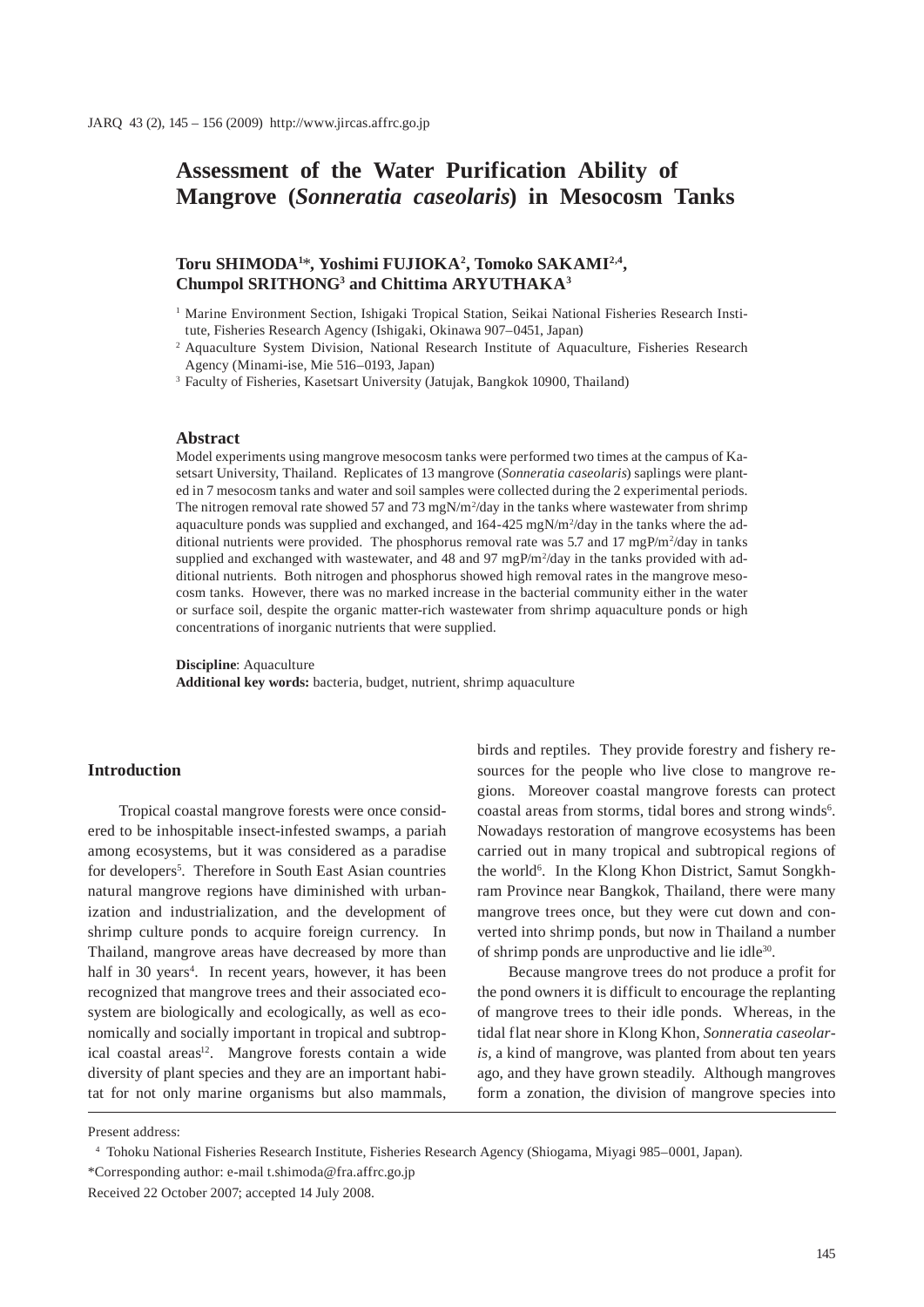# **Assessment of the Water Purification Ability of Mangrove (***Sonneratia caseolaris***) in Mesocosm Tanks**

# **Toru SHIMODA1** \***, Yoshimi FUJIOKA2 , Tomoko SAKAMI2,4, Chumpol SRITHONG3 and Chittima ARYUTHAKA3**

<sup>1</sup> Marine Environment Section, Ishigaki Tropical Station, Seikai National Fisheries Research Institute, Fisheries Research Agency (Ishigaki, Okinawa 907–0451, Japan)

3 Faculty of Fisheries, Kasetsart University (Jatujak, Bangkok 10900, Thailand)

#### **Abstract**

Model experiments using mangrove mesocosm tanks were performed two times at the campus of Kasetsart University, Thailand. Replicates of 13 mangrove (*Sonneratia caseolaris*) saplings were planted in 7 mesocosm tanks and water and soil samples were collected during the 2 experimental periods. The nitrogen removal rate showed 57 and 73 mgN/m<sup>2</sup>/day in the tanks where wastewater from shrimp aquaculture ponds was supplied and exchanged, and  $164-425$  mgN/m<sup>2</sup>/day in the tanks where the additional nutrients were provided. The phosphorus removal rate was 5.7 and 17 mgP/m<sup>2</sup>/day in tanks supplied and exchanged with wastewater, and 48 and 97 mgP/m<sup>2</sup>/day in the tanks provided with additional nutrients. Both nitrogen and phosphorus showed high removal rates in the mangrove mesocosm tanks. However, there was no marked increase in the bacterial community either in the water or surface soil, despite the organic matter-rich wastewater from shrimp aquaculture ponds or high concentrations of inorganic nutrients that were supplied.

**Discipline**: Aquaculture

**Additional key words:** bacteria, budget, nutrient*,* shrimp aquaculture

#### **Introduction**

Tropical coastal mangrove forests were once considered to be inhospitable insect-infested swamps, a pariah among ecosystems, but it was considered as a paradise for developers<sup>5</sup>. Therefore in South East Asian countries natural mangrove regions have diminished with urbanization and industrialization, and the development of shrimp culture ponds to acquire foreign currency. In Thailand, mangrove areas have decreased by more than half in 30 years<sup>4</sup>. In recent years, however, it has been recognized that mangrove trees and their associated ecosystem are biologically and ecologically, as well as economically and socially important in tropical and subtropical coastal areas<sup>12</sup>. Mangrove forests contain a wide diversity of plant species and they are an important habitat for not only marine organisms but also mammals,

birds and reptiles. They provide forestry and fishery resources for the people who live close to mangrove regions. Moreover coastal mangrove forests can protect coastal areas from storms, tidal bores and strong winds<sup>6</sup>. Nowadays restoration of mangrove ecosystems has been carried out in many tropical and subtropical regions of the world<sup>6</sup>. In the Klong Khon District, Samut Songkhram Province near Bangkok, Thailand, there were many mangrove trees once, but they were cut down and converted into shrimp ponds, but now in Thailand a number of shrimp ponds are unproductive and lie idle30.

Because mangrove trees do not produce a profit for the pond owners it is difficult to encourage the replanting of mangrove trees to their idle ponds. Whereas, in the tidal flat near shore in Klong Khon, *Sonneratia caseolaris,* a kind of mangrove, was planted from about ten years ago, and they have grown steadily. Although mangroves form a zonation, the division of mangrove species into

Present address:

4 Tohoku National Fisheries Research Institute, Fisheries Research Agency (Shiogama, Miyagi 985–0001, Japan).

<sup>&</sup>lt;sup>2</sup> Aquaculture System Division, National Research Institute of Aquaculture, Fisheries Research Agency (Minami-ise, Mie 516–0193, Japan)

<sup>\*</sup>Corresponding author: e-mail t.shimoda@fra.affrc.go.jp

Received 22 October 2007; accepted 14 July 2008.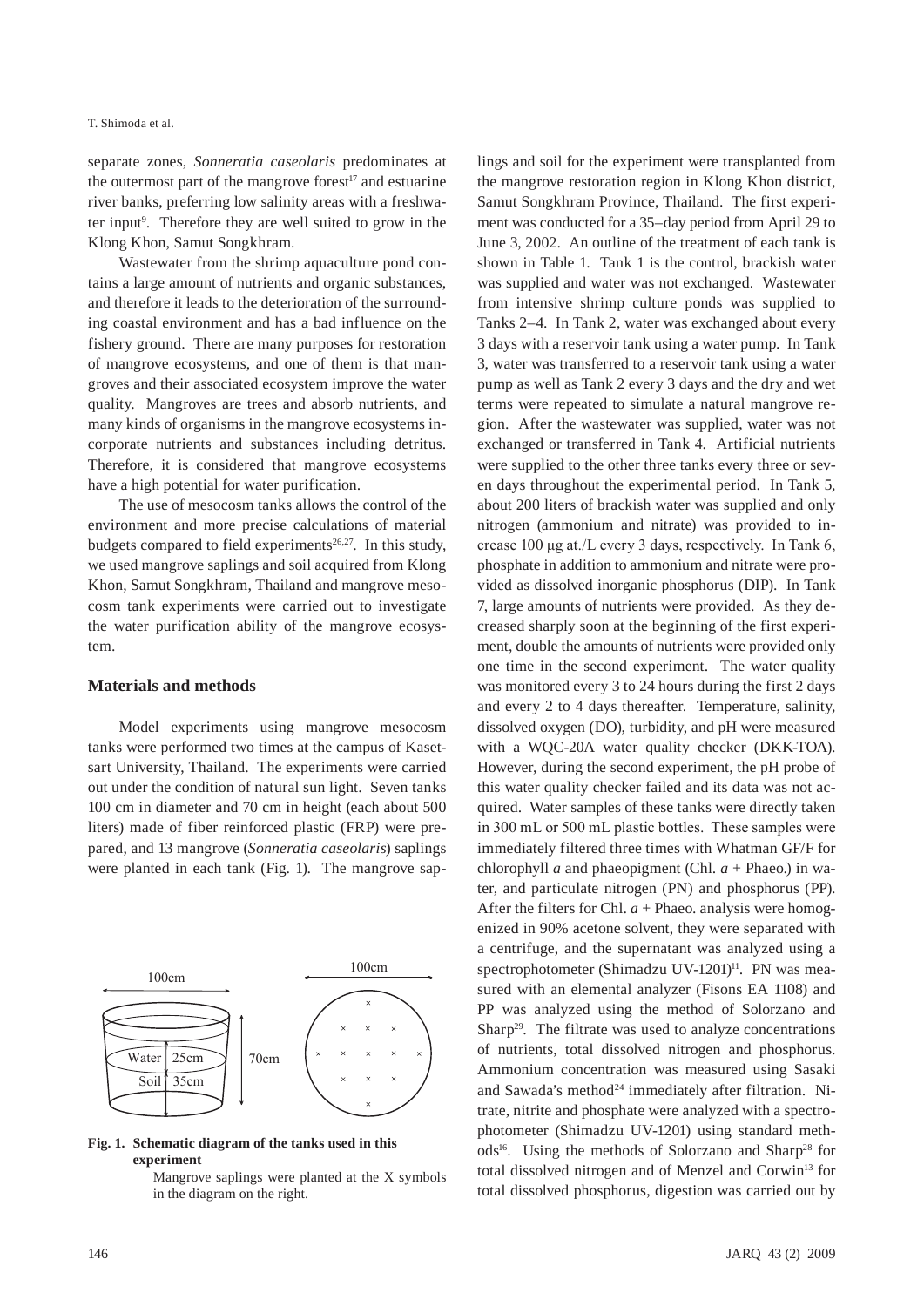#### T. Shimoda et al.

separate zones, *Sonneratia caseolaris* predominates at the outermost part of the mangrove forest<sup> $17$ </sup> and estuarine river banks, preferring low salinity areas with a freshwater input<sup>9</sup>. Therefore they are well suited to grow in the Klong Khon, Samut Songkhram.

Wastewater from the shrimp aquaculture pond contains a large amount of nutrients and organic substances, and therefore it leads to the deterioration of the surrounding coastal environment and has a bad influence on the fishery ground. There are many purposes for restoration of mangrove ecosystems, and one of them is that mangroves and their associated ecosystem improve the water quality. Mangroves are trees and absorb nutrients, and many kinds of organisms in the mangrove ecosystems incorporate nutrients and substances including detritus. Therefore, it is considered that mangrove ecosystems have a high potential for water purification.

The use of mesocosm tanks allows the control of the environment and more precise calculations of material budgets compared to field experiments<sup>26,27</sup>. In this study, we used mangrove saplings and soil acquired from Klong Khon, Samut Songkhram, Thailand and mangrove mesocosm tank experiments were carried out to investigate the water purification ability of the mangrove ecosystem.

### **Materials and methods**

Model experiments using mangrove mesocosm tanks were performed two times at the campus of Kasetsart University, Thailand. The experiments were carried out under the condition of natural sun light. Seven tanks 100 cm in diameter and 70 cm in height (each about 500 liters) made of fiber reinforced plastic (FRP) were prepared, and 13 mangrove (*Sonneratia caseolaris*) saplings were planted in each tank (Fig. 1). The mangrove sap-



### **Fig. 1. Schematic diagram of the tanks used in this experiment**

Mangrove saplings were planted at the X symbols in the diagram on the right.

lings and soil for the experiment were transplanted from the mangrove restoration region in Klong Khon district, Samut Songkhram Province, Thailand. The first experiment was conducted for a 35–day period from April 29 to June 3, 2002. An outline of the treatment of each tank is shown in Table 1. Tank 1 is the control, brackish water was supplied and water was not exchanged. Wastewater from intensive shrimp culture ponds was supplied to Tanks 2–4. In Tank 2, water was exchanged about every 3 days with a reservoir tank using a water pump. In Tank 3, water was transferred to a reservoir tank using a water pump as well as Tank 2 every 3 days and the dry and wet terms were repeated to simulate a natural mangrove region. After the wastewater was supplied, water was not exchanged or transferred in Tank 4. Artificial nutrients were supplied to the other three tanks every three or seven days throughout the experimental period. In Tank 5, about 200 liters of brackish water was supplied and only nitrogen (ammonium and nitrate) was provided to increase 100 μg at./L every 3 days, respectively. In Tank 6, phosphate in addition to ammonium and nitrate were provided as dissolved inorganic phosphorus (DIP). In Tank 7, large amounts of nutrients were provided. As they decreased sharply soon at the beginning of the first experiment, double the amounts of nutrients were provided only one time in the second experiment. The water quality was monitored every 3 to 24 hours during the first 2 days and every 2 to 4 days thereafter. Temperature, salinity, dissolved oxygen (DO), turbidity, and pH were measured with a WQC-20A water quality checker (DKK-TOA). However, during the second experiment, the pH probe of this water quality checker failed and its data was not acquired. Water samples of these tanks were directly taken in 300 mL or 500 mL plastic bottles. These samples were immediately filtered three times with Whatman GF/F for chlorophyll *a* and phaeopigment (Chl.  $a$  + Phaeo.) in water, and particulate nitrogen (PN) and phosphorus (PP). After the filters for Chl.  $a$  + Phaeo. analysis were homogenized in 90% acetone solvent, they were separated with a centrifuge, and the supernatant was analyzed using a spectrophotometer (Shimadzu UV-1201)<sup>11</sup>. PN was measured with an elemental analyzer (Fisons EA 1108) and PP was analyzed using the method of Solorzano and Sharp<sup>29</sup>. The filtrate was used to analyze concentrations of nutrients, total dissolved nitrogen and phosphorus. Ammonium concentration was measured using Sasaki and Sawada's method<sup>24</sup> immediately after filtration. Nitrate, nitrite and phosphate were analyzed with a spectrophotometer (Shimadzu UV-1201) using standard meth $ods<sup>16</sup>$ . Using the methods of Solorzano and Sharp<sup>28</sup> for total dissolved nitrogen and of Menzel and Corwin<sup>13</sup> for total dissolved phosphorus, digestion was carried out by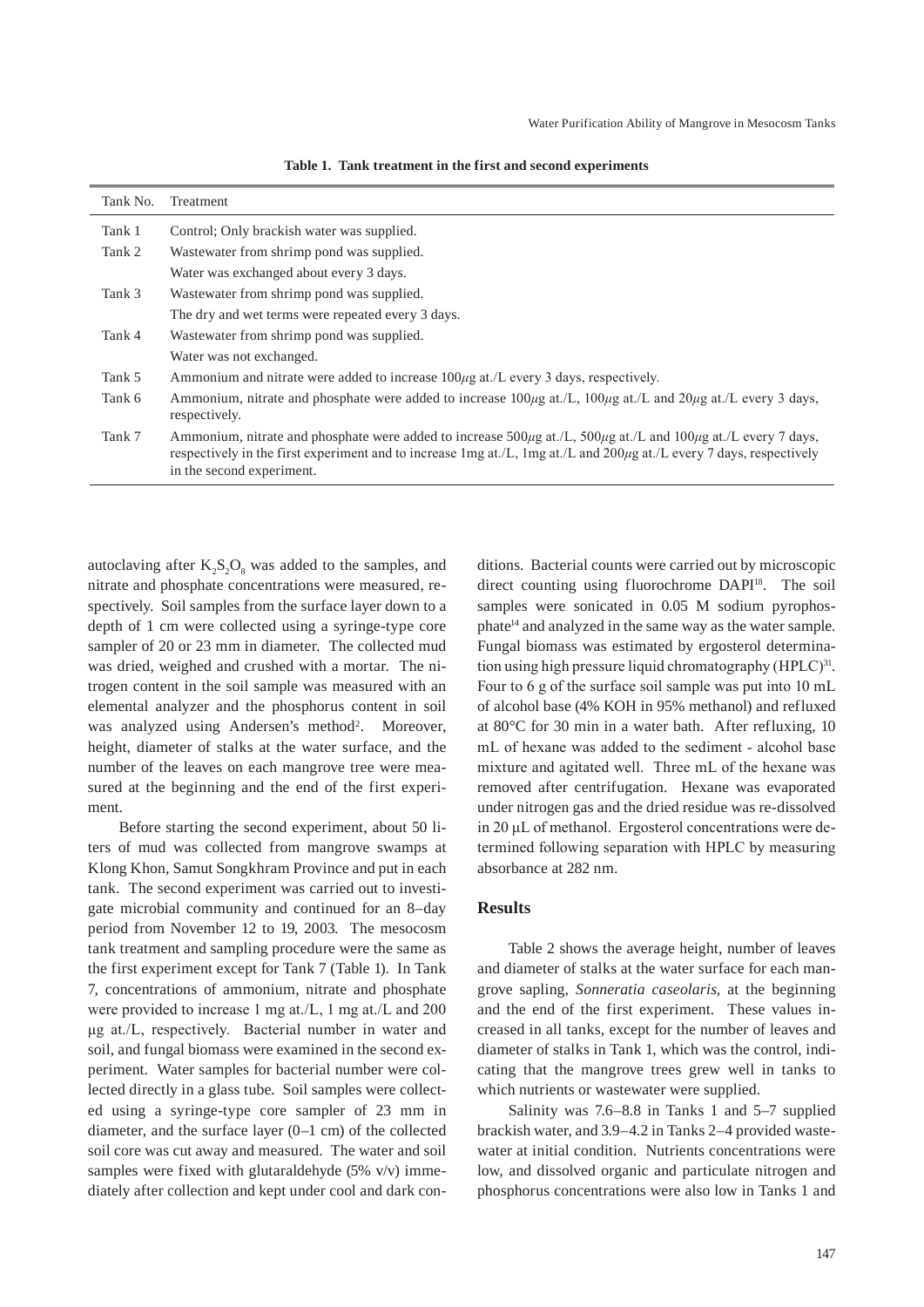| Tank No. | Treatment                                                                                                                                                                                                                                                                                                                                                       |
|----------|-----------------------------------------------------------------------------------------------------------------------------------------------------------------------------------------------------------------------------------------------------------------------------------------------------------------------------------------------------------------|
| Tank 1   | Control; Only brackish water was supplied.                                                                                                                                                                                                                                                                                                                      |
| Tank 2   | Wastewater from shrimp pond was supplied.                                                                                                                                                                                                                                                                                                                       |
|          | Water was exchanged about every 3 days.                                                                                                                                                                                                                                                                                                                         |
| Tank 3   | Wastewater from shrimp pond was supplied.                                                                                                                                                                                                                                                                                                                       |
|          | The dry and wet terms were repeated every 3 days.                                                                                                                                                                                                                                                                                                               |
| Tank 4   | Wastewater from shrimp pond was supplied.                                                                                                                                                                                                                                                                                                                       |
|          | Water was not exchanged.                                                                                                                                                                                                                                                                                                                                        |
| Tank 5   | Ammonium and nitrate were added to increase 100µg at /L every 3 days, respectively.                                                                                                                                                                                                                                                                             |
| Tank 6   | Ammonium, nitrate and phosphate were added to increase $100\mu$ g at./L, $100\mu$ g at./L and $20\mu$ g at./L every 3 days,<br>respectively.                                                                                                                                                                                                                    |
| Tank 7   | Ammonium, nitrate and phosphate were added to increase $500\mu g$ at./L, $500\mu g$ at./L and $100\mu g$ at./L every 7 days,<br>respectively in the first experiment and to increase $\text{Im} g \, \text{at.}/\text{L}$ , $\text{Im} g \, \text{at.}/\text{L}$ and $200 \mu g \, \text{at.}/\text{L}$ every 7 days, respectively<br>in the second experiment. |

**Table 1. Tank treatment in the first and second experiments**

autoclaving after  $K_2S_2O_8$  was added to the samples, and nitrate and phosphate concentrations were measured, respectively. Soil samples from the surface layer down to a depth of 1 cm were collected using a syringe-type core sampler of 20 or 23 mm in diameter. The collected mud was dried, weighed and crushed with a mortar. The nitrogen content in the soil sample was measured with an elemental analyzer and the phosphorus content in soil was analyzed using Andersen's method<sup>2</sup>. Moreover, height, diameter of stalks at the water surface, and the number of the leaves on each mangrove tree were measured at the beginning and the end of the first experiment.

Before starting the second experiment, about 50 liters of mud was collected from mangrove swamps at Klong Khon, Samut Songkhram Province and put in each tank. The second experiment was carried out to investigate microbial community and continued for an 8–day period from November 12 to 19, 2003. The mesocosm tank treatment and sampling procedure were the same as the first experiment except for Tank 7 (Table 1). In Tank 7, concentrations of ammonium, nitrate and phosphate were provided to increase 1 mg at./L, 1 mg at./L and 200 μg at./L, respectively. Bacterial number in water and soil, and fungal biomass were examined in the second experiment. Water samples for bacterial number were collected directly in a glass tube. Soil samples were collected using a syringe-type core sampler of 23 mm in diameter, and the surface layer (0–1 cm) of the collected soil core was cut away and measured. The water and soil samples were fixed with glutaraldehyde (5% v/v) immediately after collection and kept under cool and dark conditions. Bacterial counts were carried out by microscopic direct counting using fluorochrome DAPI<sup>18</sup>. The soil samples were sonicated in 0.05 M sodium pyrophosphate<sup>14</sup> and analyzed in the same way as the water sample. Fungal biomass was estimated by ergosterol determination using high pressure liquid chromatography (HPLC)<sup>31</sup>. Four to 6 g of the surface soil sample was put into 10 mL of alcohol base (4% KOH in 95% methanol) and refluxed at 80°C for 30 min in a water bath. After refluxing, 10 mL of hexane was added to the sediment - alcohol base mixture and agitated well. Three mL of the hexane was removed after centrifugation. Hexane was evaporated under nitrogen gas and the dried residue was re-dissolved in 20 μL of methanol. Ergosterol concentrations were determined following separation with HPLC by measuring absorbance at 282 nm.

## **Results**

Table 2 shows the average height, number of leaves and diameter of stalks at the water surface for each mangrove sapling, *Sonneratia caseolaris*, at the beginning and the end of the first experiment. These values increased in all tanks, except for the number of leaves and diameter of stalks in Tank 1, which was the control, indicating that the mangrove trees grew well in tanks to which nutrients or wastewater were supplied.

Salinity was 7.6–8.8 in Tanks 1 and 5–7 supplied brackish water, and 3.9–4.2 in Tanks 2–4 provided wastewater at initial condition. Nutrients concentrations were low, and dissolved organic and particulate nitrogen and phosphorus concentrations were also low in Tanks 1 and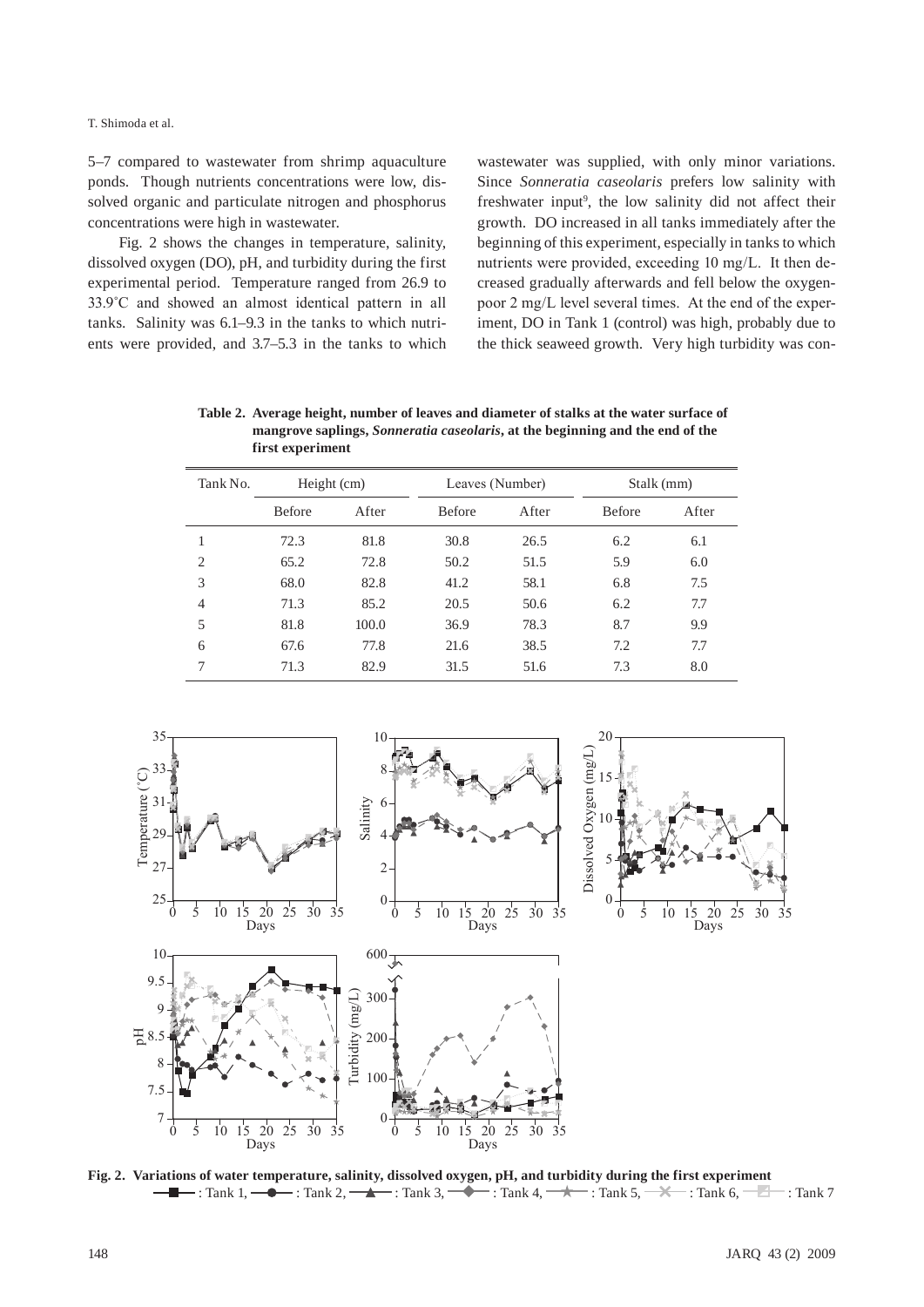T. Shimoda et al.

5–7 compared to wastewater from shrimp aquaculture ponds. Though nutrients concentrations were low, dissolved organic and particulate nitrogen and phosphorus concentrations were high in wastewater.

Fig. 2 shows the changes in temperature, salinity, dissolved oxygen (DO), pH, and turbidity during the first experimental period. Temperature ranged from 26.9 to 33.9˚C and showed an almost identical pattern in all tanks. Salinity was 6.1–9.3 in the tanks to which nutrients were provided, and 3.7–5.3 in the tanks to which wastewater was supplied, with only minor variations. Since *Sonneratia caseolaris* prefers low salinity with freshwater input<sup>9</sup>, the low salinity did not affect their growth. DO increased in all tanks immediately after the beginning of this experiment, especially in tanks to which nutrients were provided, exceeding 10 mg/L. It then decreased gradually afterwards and fell below the oxygenpoor 2 mg/L level several times. At the end of the experiment, DO in Tank 1 (control) was high, probably due to the thick seaweed growth. Very high turbidity was con-

**Table 2. Average height, number of leaves and diameter of stalks at the water surface of mangrove saplings,** *Sonneratia caseolaris***, at the beginning and the end of the first experiment**

| Tank No.       | Height (cm)   |       | Leaves (Number) |       | Stalk (mm)    |       |
|----------------|---------------|-------|-----------------|-------|---------------|-------|
|                | <b>Before</b> | After | <b>Before</b>   | After | <b>Before</b> | After |
| 1              | 72.3          | 81.8  | 30.8            | 26.5  | 6.2           | 6.1   |
| $\overline{c}$ | 65.2          | 72.8  | 50.2            | 51.5  | 5.9           | 6.0   |
| 3              | 68.0          | 82.8  | 41.2            | 58.1  | 6.8           | 7.5   |
| $\overline{4}$ | 71.3          | 85.2  | 20.5            | 50.6  | 6.2           | 7.7   |
| 5              | 81.8          | 100.0 | 36.9            | 78.3  | 8.7           | 9.9   |
| 6              | 67.6          | 77.8  | 21.6            | 38.5  | 7.2           | 7.7   |
| 7              | 71.3          | 82.9  | 31.5            | 51.6  | 7.3           | 8.0   |



**Fig. 2. Variations of water temperature, salinity, dissolved oxygen, pH, and turbidity during the first experiment II.**  $\rightarrow$  : Tank 1,  $\rightarrow$   $\rightarrow$  : Tank 2,  $\rightarrow$   $\rightarrow$  : Tank 3,  $\rightarrow$   $\rightarrow$  : Tank 4,  $\rightarrow$   $\rightarrow$   $\rightarrow$  : Tank 6,  $\rightarrow$   $\rightarrow$  : Tank 7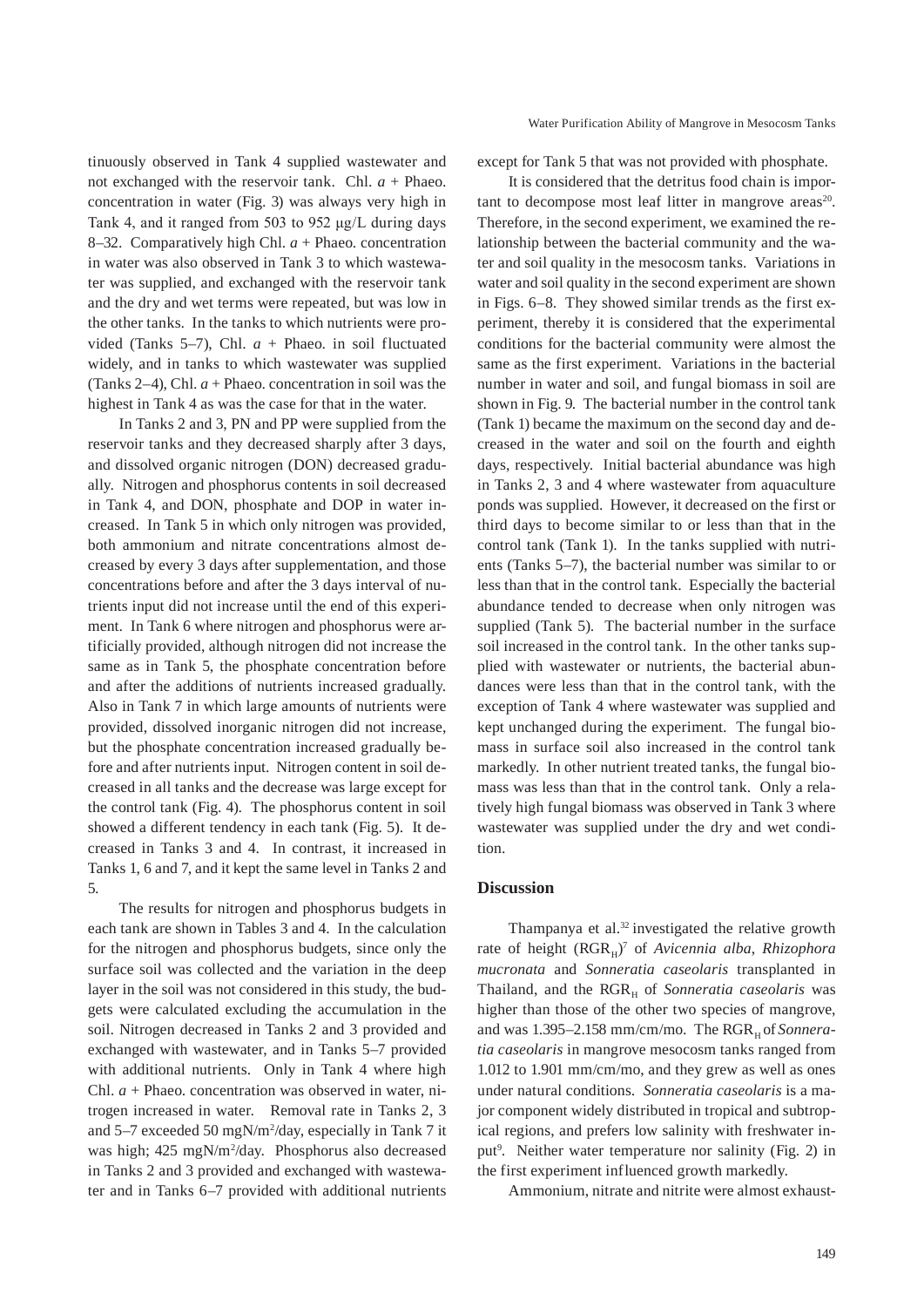tinuously observed in Tank 4 supplied wastewater and not exchanged with the reservoir tank. Chl.  $a +$  Phaeo. concentration in water (Fig. 3) was always very high in Tank 4, and it ranged from 503 to 952 μg/L during days 8–32. Comparatively high Chl. *a* + Phaeo. concentration in water was also observed in Tank 3 to which wastewater was supplied, and exchanged with the reservoir tank and the dry and wet terms were repeated, but was low in the other tanks. In the tanks to which nutrients were provided (Tanks 5–7), Chl. *a* + Phaeo. in soil fluctuated widely, and in tanks to which wastewater was supplied (Tanks 2–4), Chl.  $a$  + Phaeo. concentration in soil was the highest in Tank 4 as was the case for that in the water.

In Tanks 2 and 3, PN and PP were supplied from the reservoir tanks and they decreased sharply after 3 days, and dissolved organic nitrogen (DON) decreased gradually. Nitrogen and phosphorus contents in soil decreased in Tank 4, and DON, phosphate and DOP in water increased. In Tank 5 in which only nitrogen was provided, both ammonium and nitrate concentrations almost decreased by every 3 days after supplementation, and those concentrations before and after the 3 days interval of nutrients input did not increase until the end of this experiment. In Tank 6 where nitrogen and phosphorus were artificially provided, although nitrogen did not increase the same as in Tank 5, the phosphate concentration before and after the additions of nutrients increased gradually. Also in Tank 7 in which large amounts of nutrients were provided, dissolved inorganic nitrogen did not increase, but the phosphate concentration increased gradually before and after nutrients input. Nitrogen content in soil decreased in all tanks and the decrease was large except for the control tank (Fig. 4). The phosphorus content in soil showed a different tendency in each tank (Fig. 5). It decreased in Tanks 3 and 4. In contrast, it increased in Tanks 1, 6 and 7, and it kept the same level in Tanks 2 and 5.

The results for nitrogen and phosphorus budgets in each tank are shown in Tables 3 and 4. In the calculation for the nitrogen and phosphorus budgets, since only the surface soil was collected and the variation in the deep layer in the soil was not considered in this study, the budgets were calculated excluding the accumulation in the soil. Nitrogen decreased in Tanks 2 and 3 provided and exchanged with wastewater, and in Tanks 5–7 provided with additional nutrients. Only in Tank 4 where high Chl. *a* + Phaeo. concentration was observed in water, nitrogen increased in water. Removal rate in Tanks 2, 3 and 5–7 exceeded 50 mgN/m2 /day, especially in Tank 7 it was high; 425 mgN/m<sup>2</sup>/day. Phosphorus also decreased in Tanks 2 and 3 provided and exchanged with wastewater and in Tanks 6–7 provided with additional nutrients

#### Water Purification Ability of Mangrove in Mesocosm Tanks

except for Tank 5 that was not provided with phosphate.

It is considered that the detritus food chain is important to decompose most leaf litter in mangrove areas<sup>20</sup>. Therefore, in the second experiment, we examined the relationship between the bacterial community and the water and soil quality in the mesocosm tanks. Variations in water and soil quality in the second experiment are shown in Figs. 6–8. They showed similar trends as the first experiment, thereby it is considered that the experimental conditions for the bacterial community were almost the same as the first experiment. Variations in the bacterial number in water and soil, and fungal biomass in soil are shown in Fig. 9. The bacterial number in the control tank (Tank 1) became the maximum on the second day and decreased in the water and soil on the fourth and eighth days, respectively. Initial bacterial abundance was high in Tanks 2, 3 and 4 where wastewater from aquaculture ponds was supplied. However, it decreased on the first or third days to become similar to or less than that in the control tank (Tank 1). In the tanks supplied with nutrients (Tanks 5–7), the bacterial number was similar to or less than that in the control tank. Especially the bacterial abundance tended to decrease when only nitrogen was supplied (Tank 5). The bacterial number in the surface soil increased in the control tank. In the other tanks supplied with wastewater or nutrients, the bacterial abundances were less than that in the control tank, with the exception of Tank 4 where wastewater was supplied and kept unchanged during the experiment. The fungal biomass in surface soil also increased in the control tank markedly. In other nutrient treated tanks, the fungal biomass was less than that in the control tank. Only a relatively high fungal biomass was observed in Tank 3 where wastewater was supplied under the dry and wet condition.

#### **Discussion**

Thampanya et al. $32$  investigated the relative growth rate of height (RGR<sub>H</sub>)<sup>7</sup> of *Avicennia alba*, *Rhizophora mucronata* and *Sonneratia caseolaris* transplanted in Thailand, and the RGR<sub>H</sub> of *Sonneratia caseolaris* was higher than those of the other two species of mangrove, and was 1.395-2.158 mm/cm/mo. The RGR<sub>H</sub> of *Sonneratia caseolaris* in mangrove mesocosm tanks ranged from 1.012 to 1.901 mm/cm/mo, and they grew as well as ones under natural conditions. *Sonneratia caseolaris* is a major component widely distributed in tropical and subtropical regions, and prefers low salinity with freshwater input<sup>9</sup>. Neither water temperature nor salinity (Fig. 2) in the first experiment influenced growth markedly.

Ammonium, nitrate and nitrite were almost exhaust-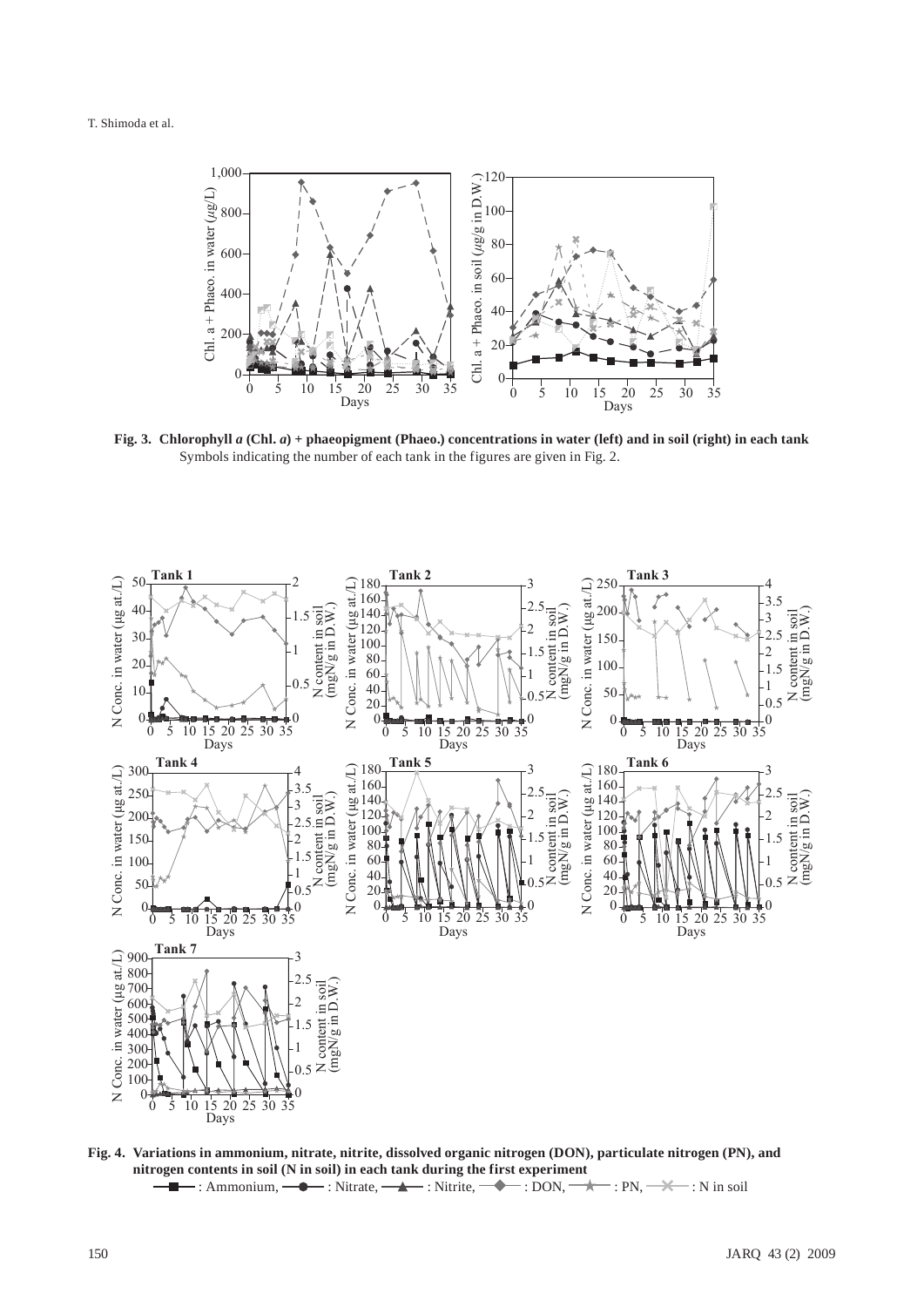

**Fig. 3. Chlorophyll** *a* **(Chl.** *a***) + phaeopigment (Phaeo.) concentrations in water (left) and in soil (right) in each tank** Symbols indicating the number of each tank in the figures are given in Fig. 2.



**Fig. 4. Variations in ammonium, nitrate, nitrite, dissolved organic nitrogen (DON), particulate nitrogen (PN), and nitrogen contents in soil (N in soil) in each tank during the first experiment**  $\blacksquare$ : Ammonium,  $\spadesuit$  : Nitrate,  $\spadesuit$  : Nitrite,  $\spadesuit$  : DON,  $\gt$  : PN,  $\gt$  : N in soil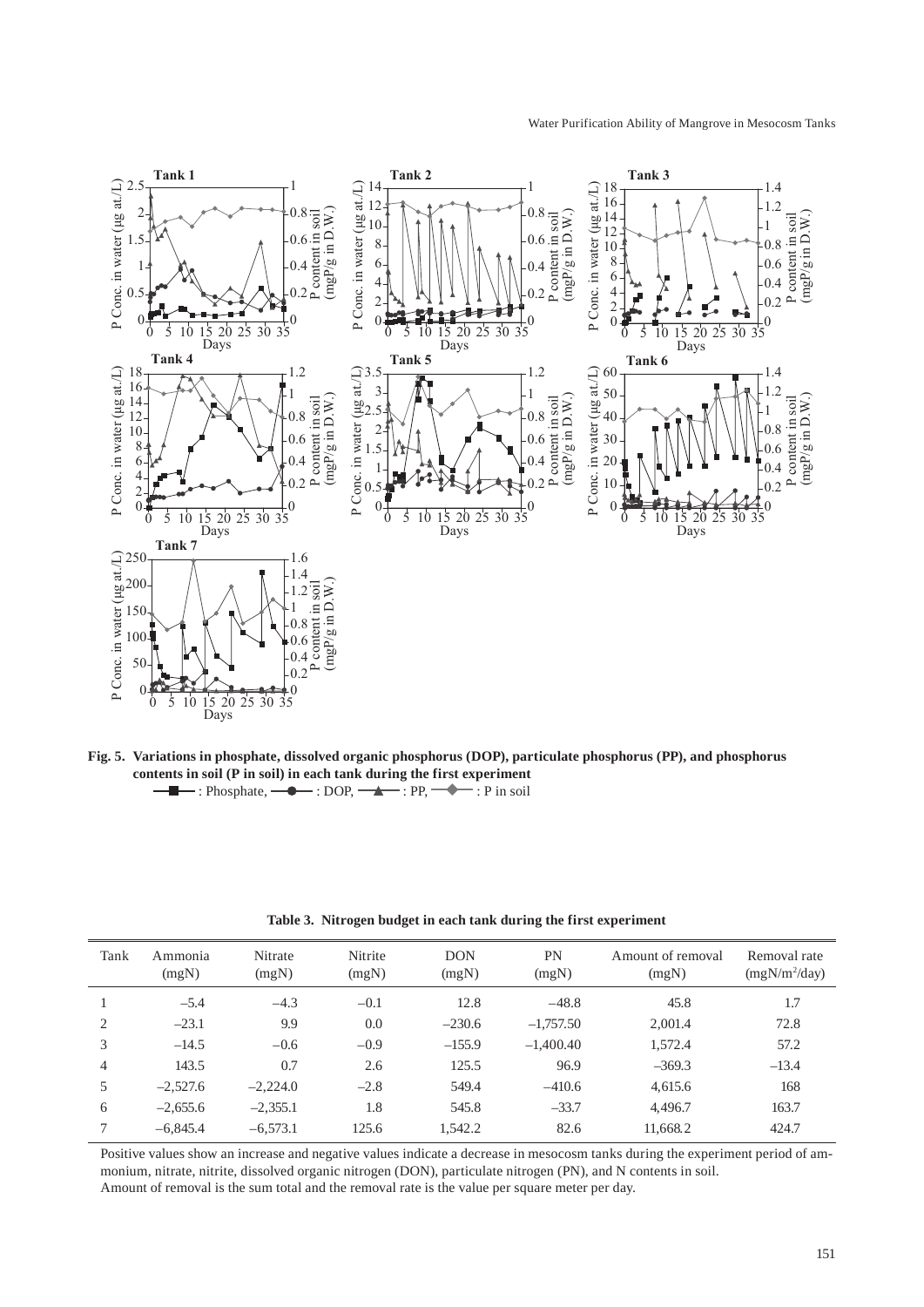

**Fig. 5. Variations in phosphate, dissolved organic phosphorus (DOP), particulate phosphorus (PP), and phosphorus contents in soil (P in soil) in each tank during the first experiment**  $\rightarrow$ : Phosphate,  $\rightarrow$ : DOP,  $\rightarrow$ : PP,  $\rightarrow$ : P in soil

| Tank           | Ammonia<br>(mgN) | Nitrate<br>(mgN) | Nitrite<br>(mgN) | <b>DON</b><br>(mgN) | PN<br>(mgN) | Amount of removal<br>(mgN) | Removal rate<br>$(mgN/m^2/day)$ |
|----------------|------------------|------------------|------------------|---------------------|-------------|----------------------------|---------------------------------|
|                | $-5.4$           | $-4.3$           | $-0.1$           | 12.8                | $-48.8$     | 45.8                       | 1.7                             |
| $\mathfrak{D}$ | $-23.1$          | 9.9              | 0.0              | $-230.6$            | $-1,757.50$ | 2,001.4                    | 72.8                            |
| 3              | $-14.5$          | $-0.6$           | $-0.9$           | $-155.9$            | $-1,400.40$ | 1,572.4                    | 57.2                            |
| $\overline{4}$ | 143.5            | 0.7              | 2.6              | 125.5               | 96.9        | $-369.3$                   | $-13.4$                         |
| 5              | $-2.527.6$       | $-2,224.0$       | $-2.8$           | 549.4               | $-410.6$    | 4,615.6                    | 168                             |
| 6              | $-2.655.6$       | $-2,355.1$       | 1.8              | 545.8               | $-33.7$     | 4,496.7                    | 163.7                           |
| $\mathcal{I}$  | $-6,845.4$       | $-6,573.1$       | 125.6            | 1,542.2             | 82.6        | 11,668.2                   | 424.7                           |

**Table 3. Nitrogen budget in each tank during the first experiment**

Positive values show an increase and negative values indicate a decrease in mesocosm tanks during the experiment period of ammonium, nitrate, nitrite, dissolved organic nitrogen (DON), particulate nitrogen (PN), and N contents in soil. Amount of removal is the sum total and the removal rate is the value per square meter per day.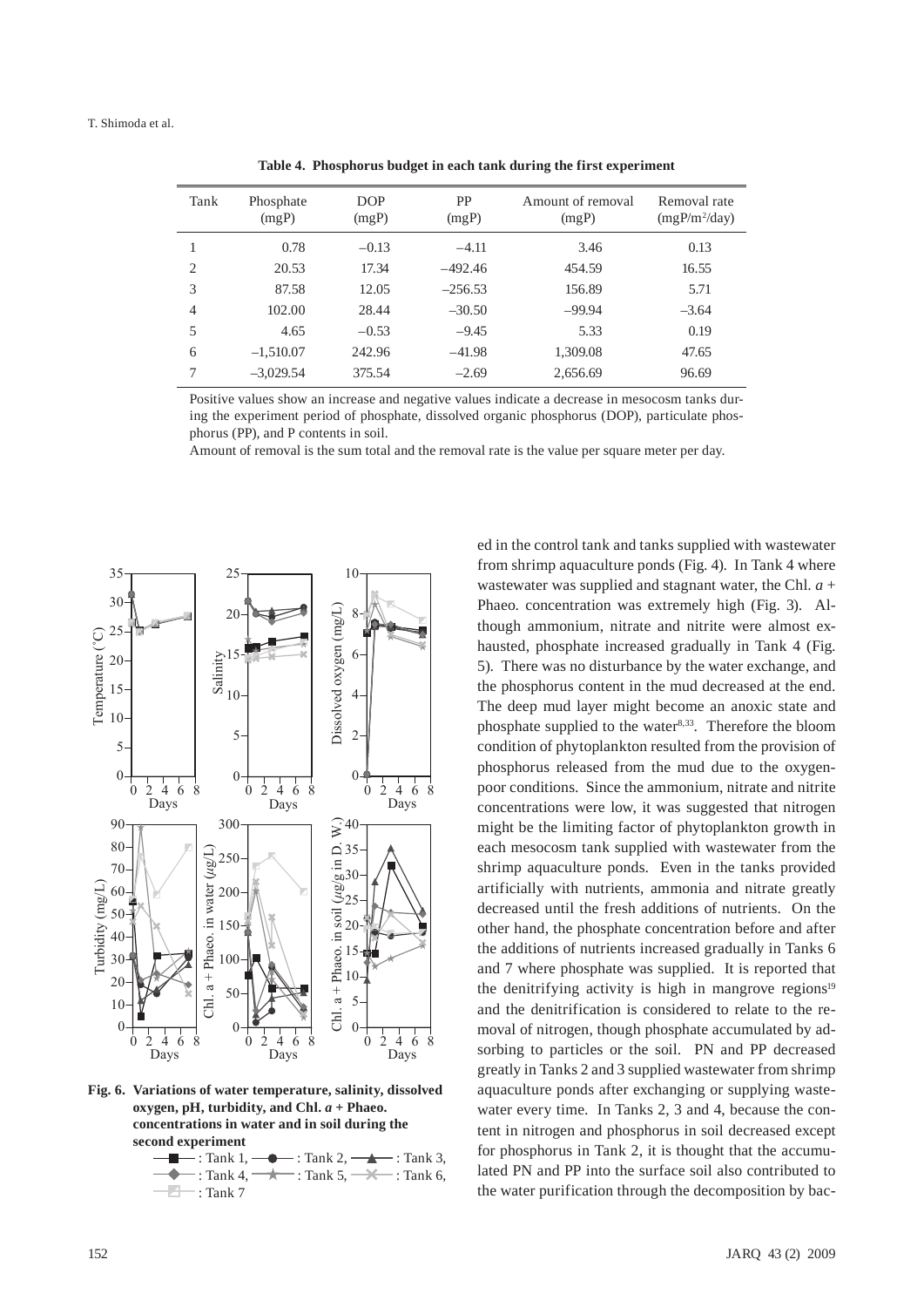| Tank           | Phosphate<br>(mgP) | <b>DOP</b><br>(mgP) | PP<br>(mgP) | Amount of removal<br>(mgP) | Removal rate<br>$(mgP/m^2/day)$ |
|----------------|--------------------|---------------------|-------------|----------------------------|---------------------------------|
|                | 0.78               | $-0.13$             | $-4.11$     | 3.46                       | 0.13                            |
| $\overline{c}$ | 20.53              | 17.34               | $-492.46$   | 454.59                     | 16.55                           |
| 3              | 87.58              | 12.05               | $-256.53$   | 156.89                     | 5.71                            |
| $\overline{4}$ | 102.00             | 28.44               | $-30.50$    | $-99.94$                   | $-3.64$                         |
| 5              | 4.65               | $-0.53$             | $-9.45$     | 5.33                       | 0.19                            |
| 6              | $-1,510.07$        | 242.96              | $-41.98$    | 1,309.08                   | 47.65                           |
| 7              | $-3,029.54$        | 375.54              | $-2.69$     | 2,656.69                   | 96.69                           |
|                |                    |                     |             |                            |                                 |

**Table 4. Phosphorus budget in each tank during the first experiment**

Positive values show an increase and negative values indicate a decrease in mesocosm tanks during the experiment period of phosphate, dissolved organic phosphorus (DOP), particulate phosphorus (PP), and P contents in soil.

Amount of removal is the sum total and the removal rate is the value per square meter per day.



**Fig. 6. Variations of water temperature, salinity, dissolved oxygen, pH, turbidity, and Chl.** *a* **+ Phaeo. concentrations in water and in soil during the second experiment**



ed in the control tank and tanks supplied with wastewater from shrimp aquaculture ponds (Fig. 4). In Tank 4 where wastewater was supplied and stagnant water, the Chl. *a* + Phaeo. concentration was extremely high (Fig. 3). Although ammonium, nitrate and nitrite were almost exhausted, phosphate increased gradually in Tank 4 (Fig. 5). There was no disturbance by the water exchange, and the phosphorus content in the mud decreased at the end. The deep mud layer might become an anoxic state and phosphate supplied to the water $8,33$ . Therefore the bloom condition of phytoplankton resulted from the provision of phosphorus released from the mud due to the oxygenpoor conditions. Since the ammonium, nitrate and nitrite concentrations were low, it was suggested that nitrogen might be the limiting factor of phytoplankton growth in each mesocosm tank supplied with wastewater from the shrimp aquaculture ponds. Even in the tanks provided artificially with nutrients, ammonia and nitrate greatly decreased until the fresh additions of nutrients. On the other hand, the phosphate concentration before and after the additions of nutrients increased gradually in Tanks 6 and 7 where phosphate was supplied. It is reported that the denitrifying activity is high in mangrove regions $19$ and the denitrification is considered to relate to the removal of nitrogen, though phosphate accumulated by adsorbing to particles or the soil. PN and PP decreased greatly in Tanks 2 and 3 supplied wastewater from shrimp aquaculture ponds after exchanging or supplying wastewater every time. In Tanks 2, 3 and 4, because the content in nitrogen and phosphorus in soil decreased except for phosphorus in Tank 2, it is thought that the accumulated PN and PP into the surface soil also contributed to the water purification through the decomposition by bac-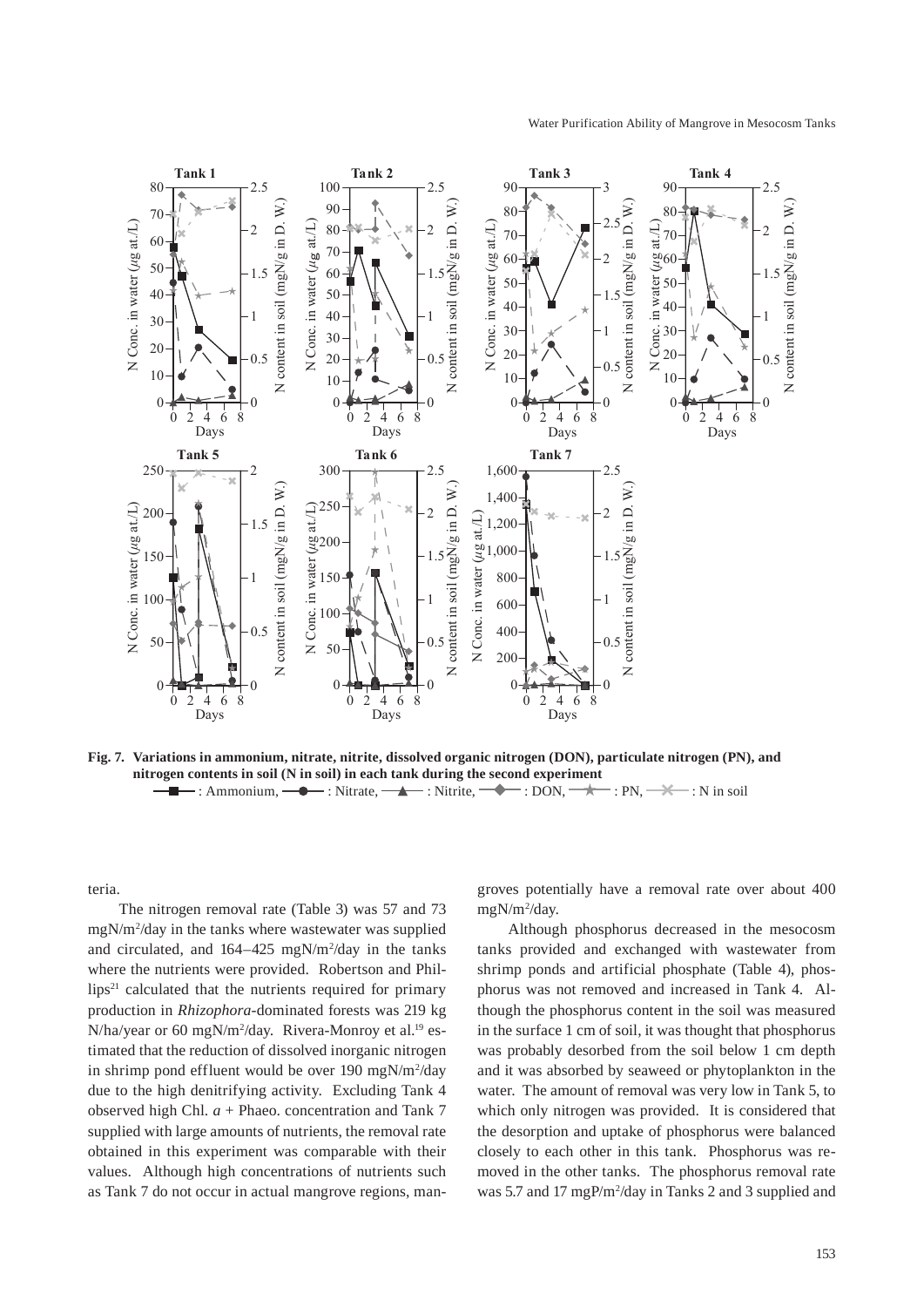

**Fig. 7. Variations in ammonium, nitrate, nitrite, dissolved organic nitrogen (DON), particulate nitrogen (PN), and nitrogen contents in soil (N in soil) in each tank during the second experiment**  $\blacksquare$ : Ammonium,  $\blacksquare$  : Nitrate,  $\blacksquare$  : Nitrite,  $\blacksquare$  : DON,  $\rightarrow$  : PN,  $\rightarrow$  : N in soil

teria.

The nitrogen removal rate (Table 3) was 57 and 73 mgN/m2 /day in the tanks where wastewater was supplied and circulated, and  $164 - 425$  mgN/m<sup>2</sup>/day in the tanks where the nutrients were provided. Robertson and Phil $lips<sup>21</sup>$  calculated that the nutrients required for primary production in *Rhizophora*-dominated forests was 219 kg N/ha/year or 60 mgN/m<sup>2</sup>/day. Rivera-Monroy et al.<sup>19</sup> estimated that the reduction of dissolved inorganic nitrogen in shrimp pond effluent would be over 190 mgN/m<sup>2</sup>/day due to the high denitrifying activity. Excluding Tank 4 observed high Chl. *a* + Phaeo. concentration and Tank 7 supplied with large amounts of nutrients, the removal rate obtained in this experiment was comparable with their values. Although high concentrations of nutrients such as Tank 7 do not occur in actual mangrove regions, mangroves potentially have a removal rate over about 400 mgN/m2 /day.

Although phosphorus decreased in the mesocosm tanks provided and exchanged with wastewater from shrimp ponds and artificial phosphate (Table 4), phosphorus was not removed and increased in Tank 4. Although the phosphorus content in the soil was measured in the surface 1 cm of soil, it was thought that phosphorus was probably desorbed from the soil below 1 cm depth and it was absorbed by seaweed or phytoplankton in the water. The amount of removal was very low in Tank 5, to which only nitrogen was provided. It is considered that the desorption and uptake of phosphorus were balanced closely to each other in this tank. Phosphorus was removed in the other tanks. The phosphorus removal rate was 5.7 and 17 mgP/m<sup>2</sup>/day in Tanks 2 and 3 supplied and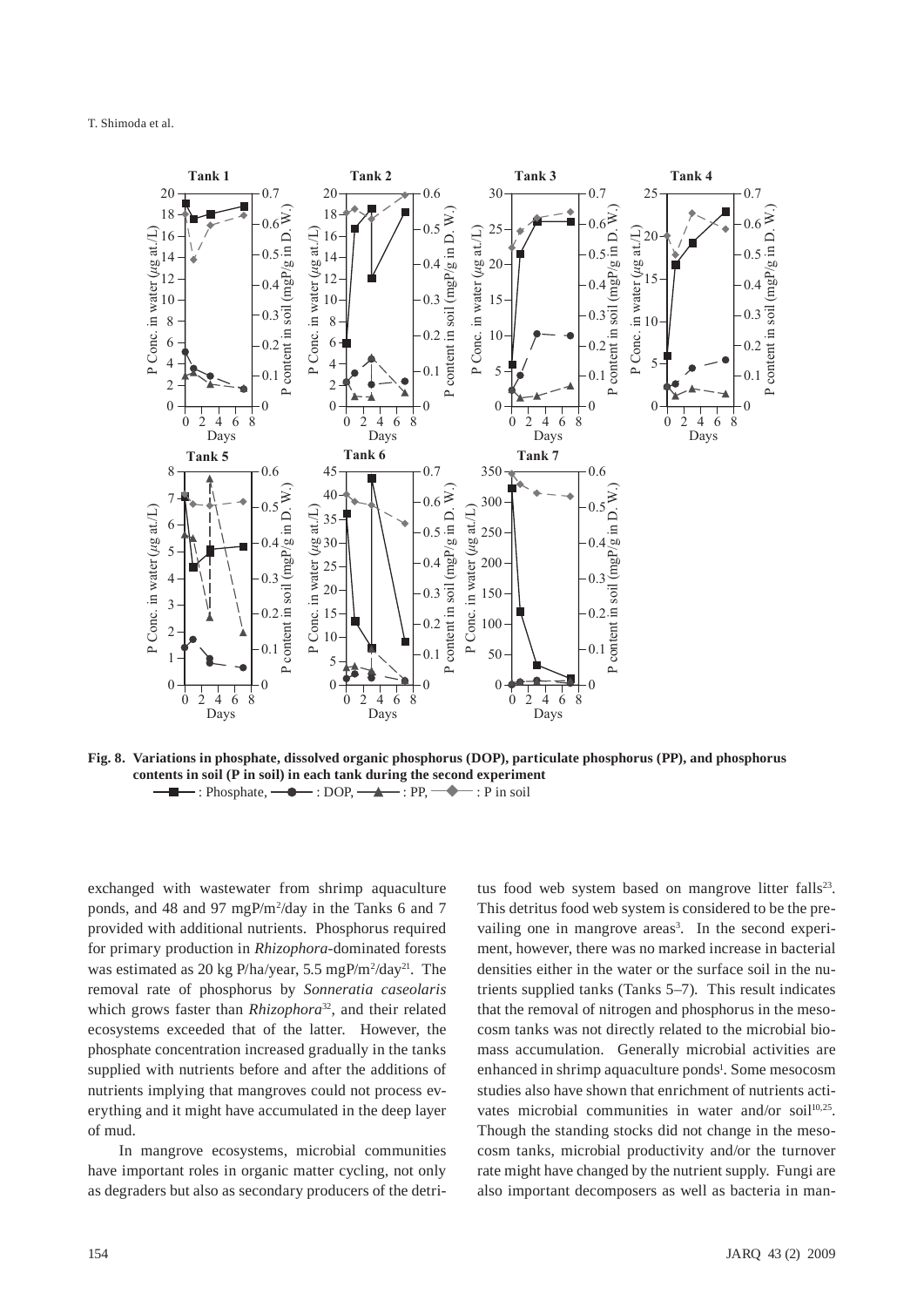

**Fig. 8. Variations in phosphate, dissolved organic phosphorus (DOP), particulate phosphorus (PP), and phosphorus contents in soil (P in soil) in each tank during the second experiment**  $\leftarrow$ : Phosphate,  $\leftarrow \leftarrow$ : DOP,  $\leftarrow \leftarrow$ : PP,  $\leftarrow \leftarrow$ : P in soil

exchanged with wastewater from shrimp aquaculture ponds, and 48 and 97 mgP/m2 /day in the Tanks 6 and 7 provided with additional nutrients. Phosphorus required for primary production in *Rhizophora*-dominated forests was estimated as 20 kg P/ha/year, 5.5 mgP/m<sup>2</sup>/day<sup>21</sup>. The removal rate of phosphorus by *Sonneratia caseolaris* which grows faster than *Rhizophora*<sup>32</sup>, and their related ecosystems exceeded that of the latter. However, the phosphate concentration increased gradually in the tanks supplied with nutrients before and after the additions of nutrients implying that mangroves could not process everything and it might have accumulated in the deep layer of mud.

In mangrove ecosystems, microbial communities have important roles in organic matter cycling, not only as degraders but also as secondary producers of the detritus food web system based on mangrove litter falls<sup>23</sup>. This detritus food web system is considered to be the prevailing one in mangrove areas<sup>3</sup>. In the second experiment, however, there was no marked increase in bacterial densities either in the water or the surface soil in the nutrients supplied tanks (Tanks 5–7). This result indicates that the removal of nitrogen and phosphorus in the mesocosm tanks was not directly related to the microbial biomass accumulation. Generally microbial activities are enhanced in shrimp aquaculture ponds<sup>1</sup>. Some mesocosm studies also have shown that enrichment of nutrients activates microbial communities in water and/or soil<sup>10,25</sup>. Though the standing stocks did not change in the mesocosm tanks, microbial productivity and/or the turnover rate might have changed by the nutrient supply. Fungi are also important decomposers as well as bacteria in man-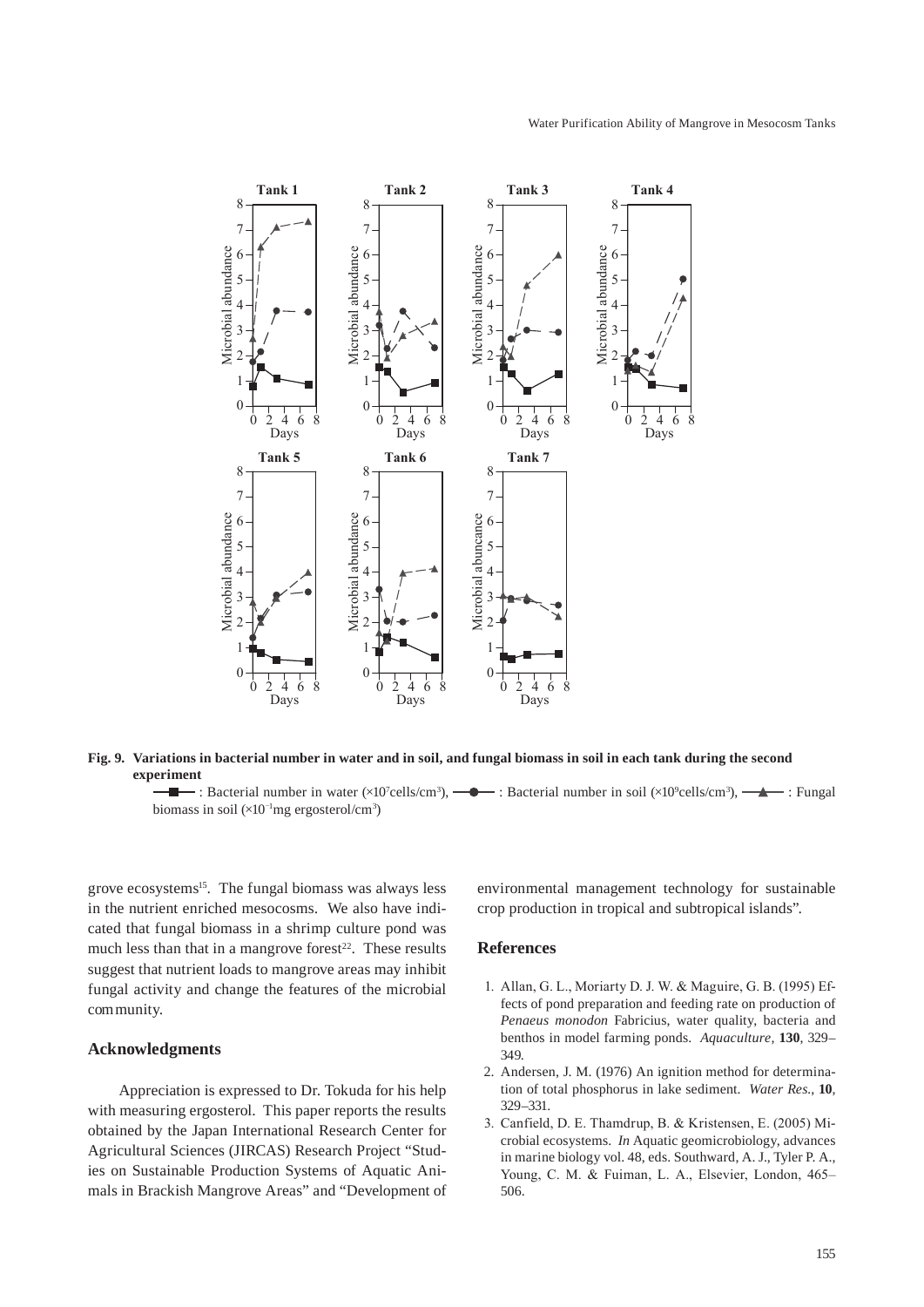

**Fig. 9. Variations in bacterial number in water and in soil, and fungal biomass in soil in each tank during the second experiment**

: Bacterial number in water  $(\times 10^7 \text{cells/cm}^3)$ ,  $\rightarrow$  : Bacterial number in soil  $(\times 10^9 \text{cells/cm}^3)$ ,  $\rightarrow$  : Fungal biomass in soil  $(\times 10^{-1}$ mg ergosterol/cm<sup>3</sup>)

grove ecosystems<sup>15</sup>. The fungal biomass was always less in the nutrient enriched mesocosms. We also have indicated that fungal biomass in a shrimp culture pond was much less than that in a mangrove forest $2<sup>2</sup>$ . These results suggest that nutrient loads to mangrove areas may inhibit fungal activity and change the features of the microbial community.

### **Acknowledgments**

Appreciation is expressed to Dr. Tokuda for his help with measuring ergosterol. This paper reports the results obtained by the Japan International Research Center for Agricultural Sciences (JIRCAS) Research Project "Studies on Sustainable Production Systems of Aquatic Animals in Brackish Mangrove Areas" and "Development of environmental management technology for sustainable crop production in tropical and subtropical islands".

### **References**

- 1. Allan, G. L., Moriarty D. J. W. & Maguire, G. B. (1995) Effects of pond preparation and feeding rate on production of *Penaeus monodon* Fabricius, water quality, bacteria and benthos in model farming ponds. *Aquaculture,* **130**, 329– 349.
- 2. Andersen, J. M. (1976) An ignition method for determination of total phosphorus in lake sediment. *Water Res.*, **10**, 329–331.
- 3. Canfield, D. E. Thamdrup, B. & Kristensen, E. (2005) Microbial ecosystems. *In* Aquatic geomicrobiology, advances in marine biology vol. 48, eds. Southward, A. J., Tyler P. A., Young, C. M. & Fuiman, L. A., Elsevier, London, 465– 506.